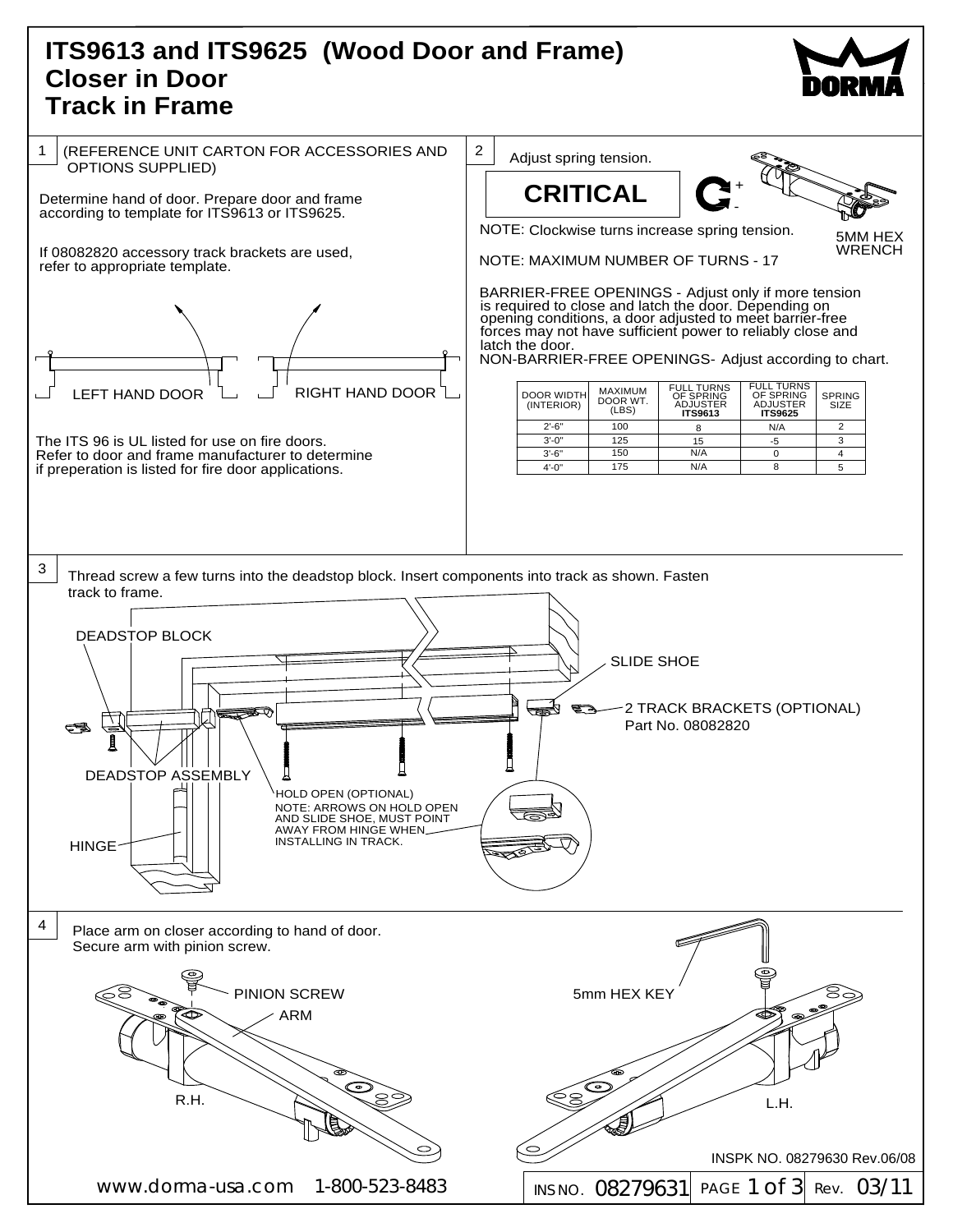## **(Wood Door and Frame) ITS9613 and ITS9625 Closer in Door Track in Frame**



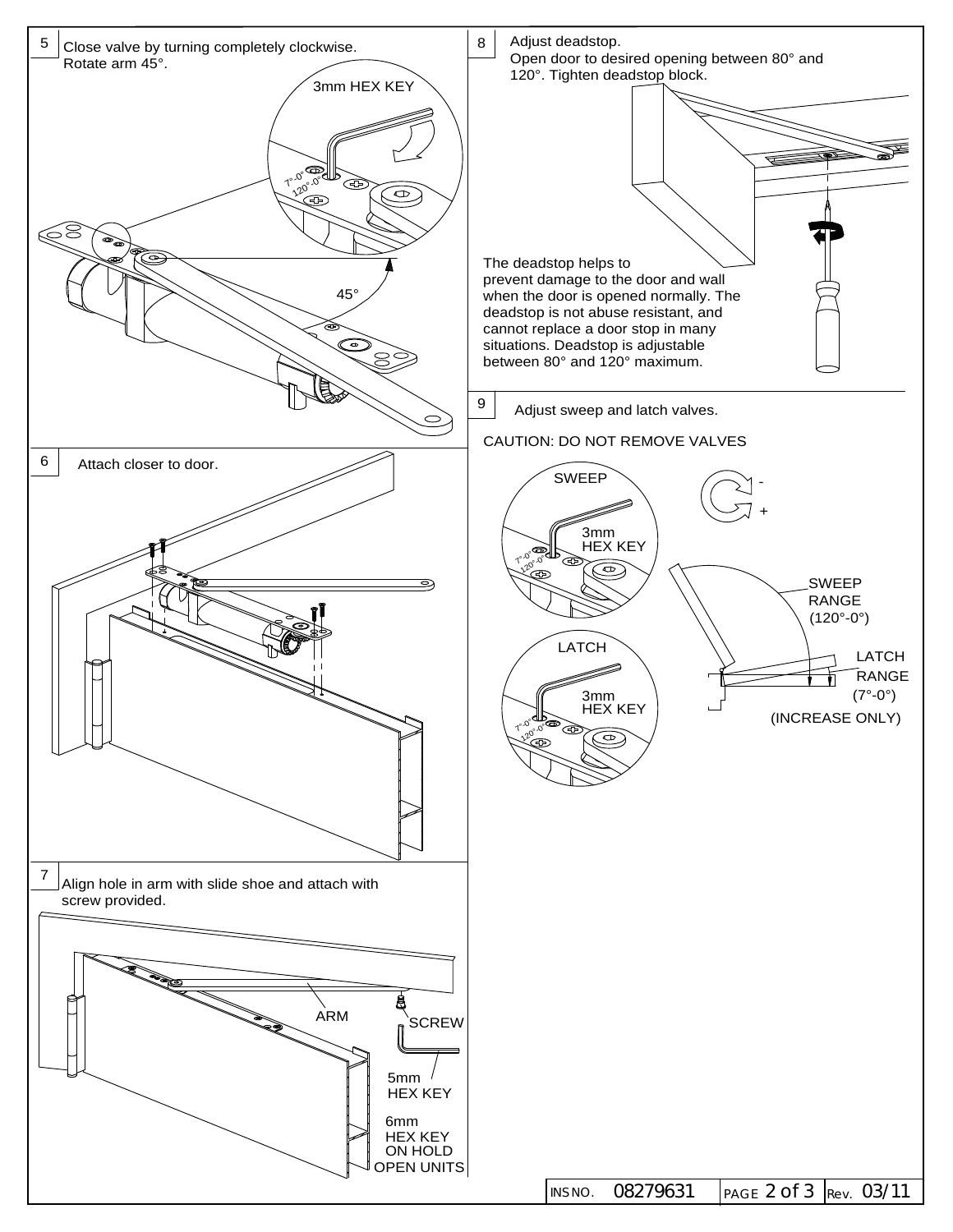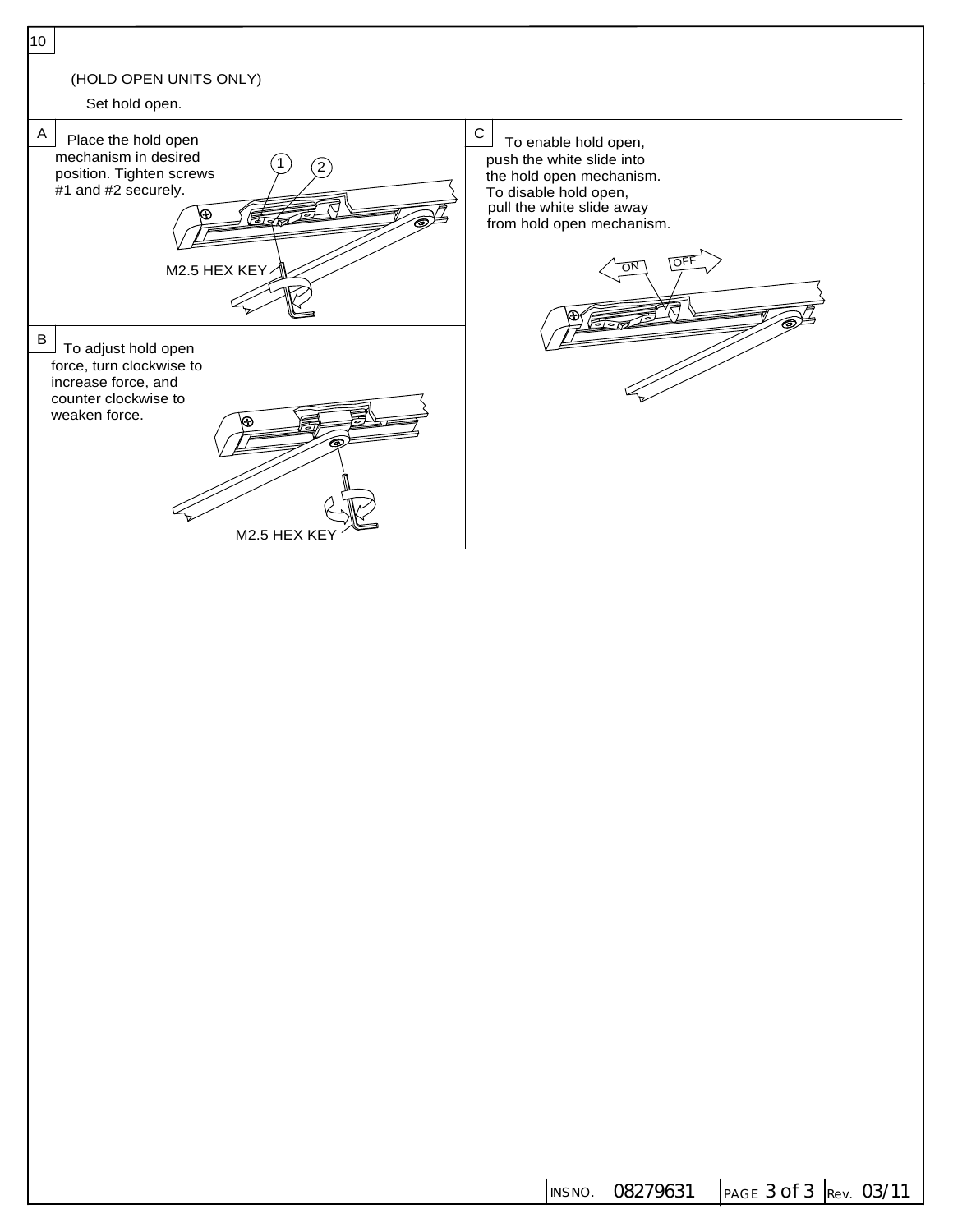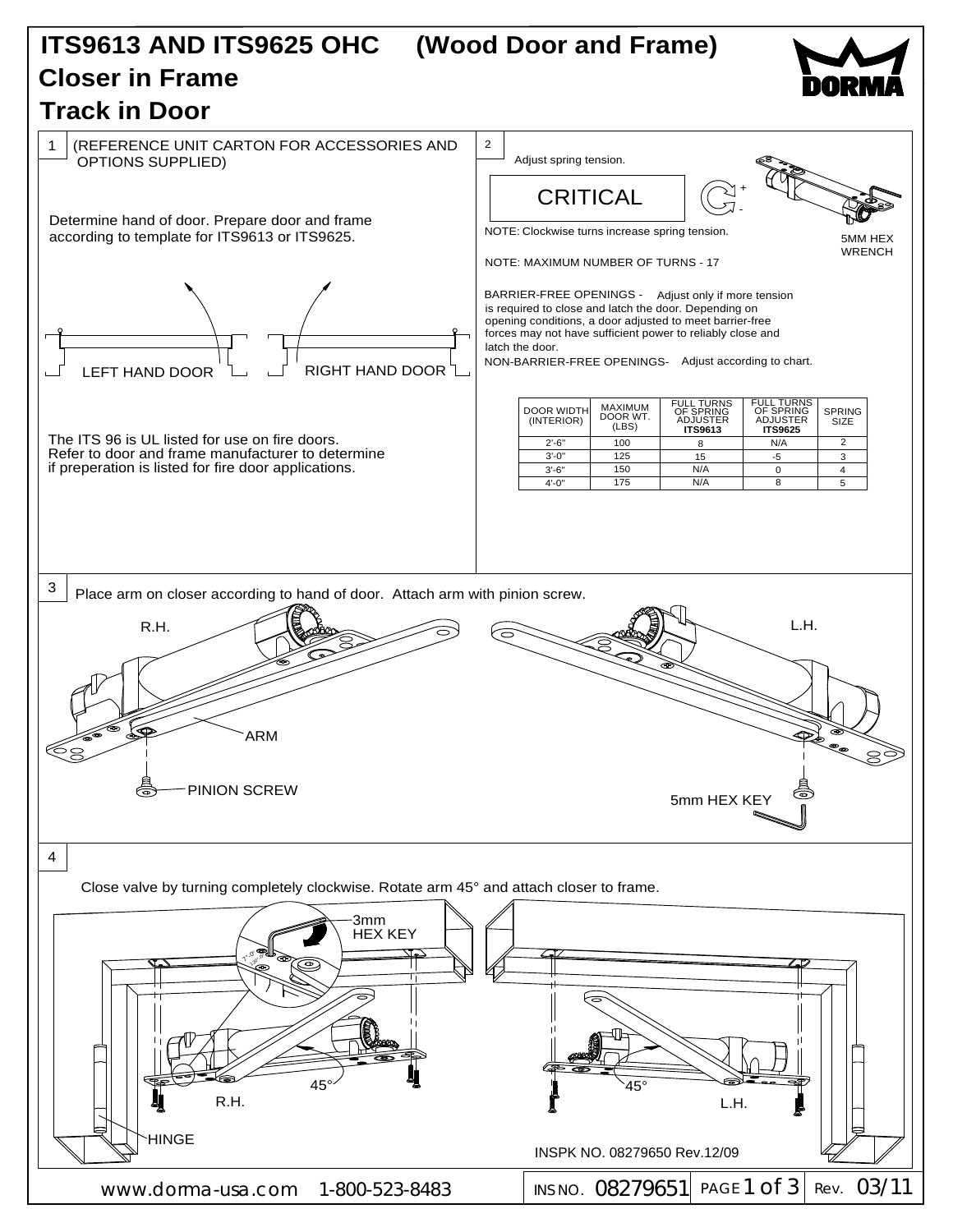## **Track in Door Closer in Frame ITS9613 AND ITS9625 OHC (Wood Door and Frame)**



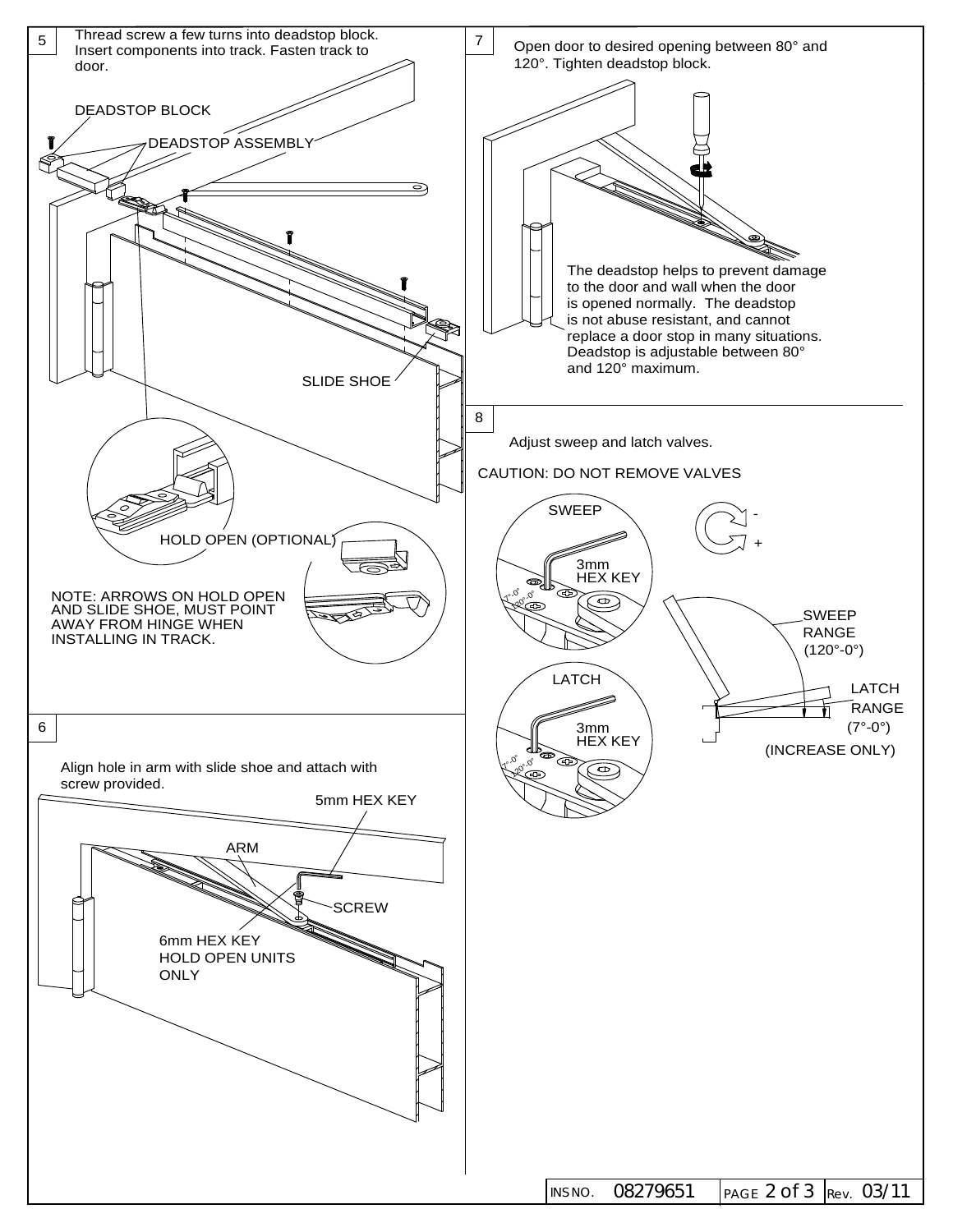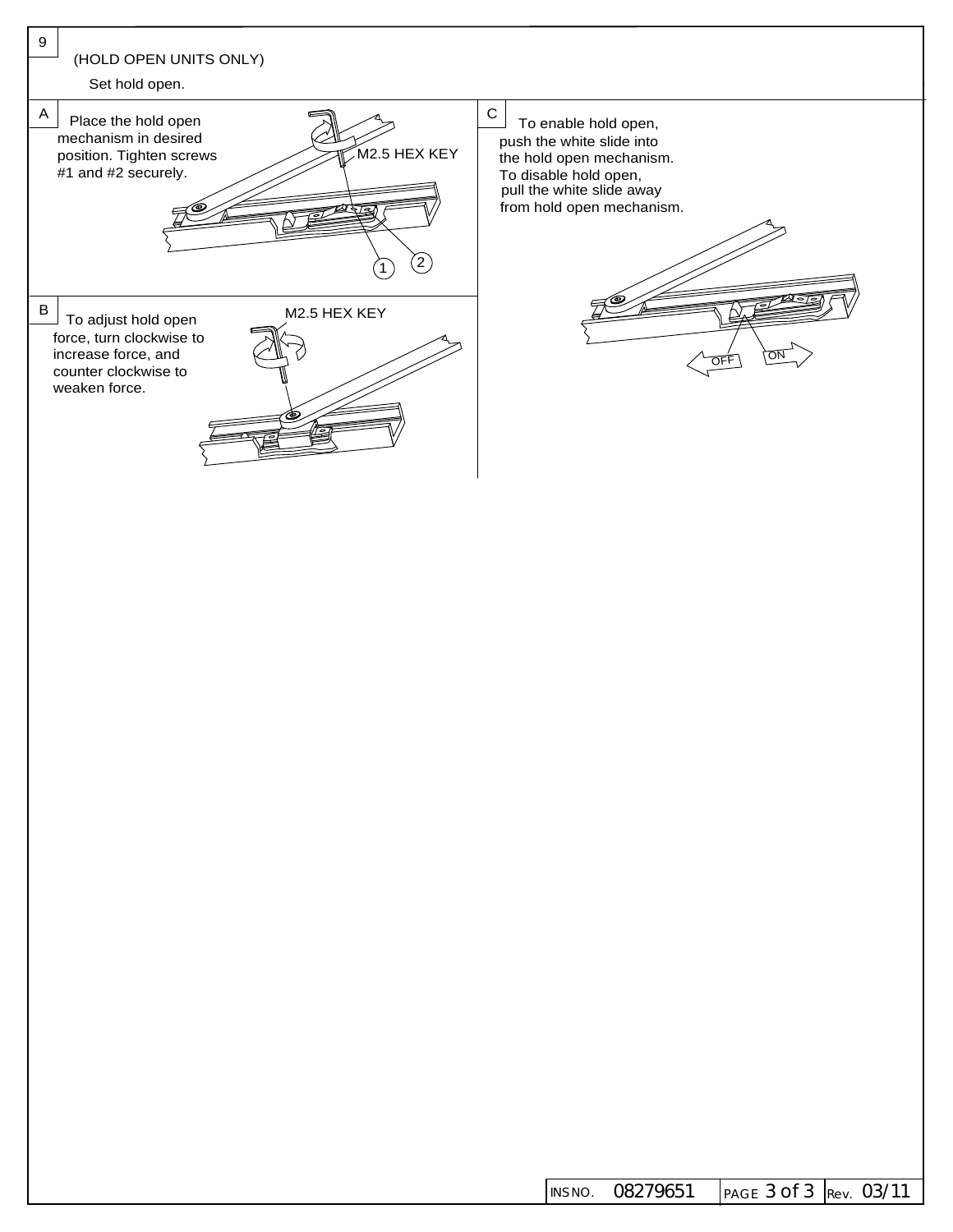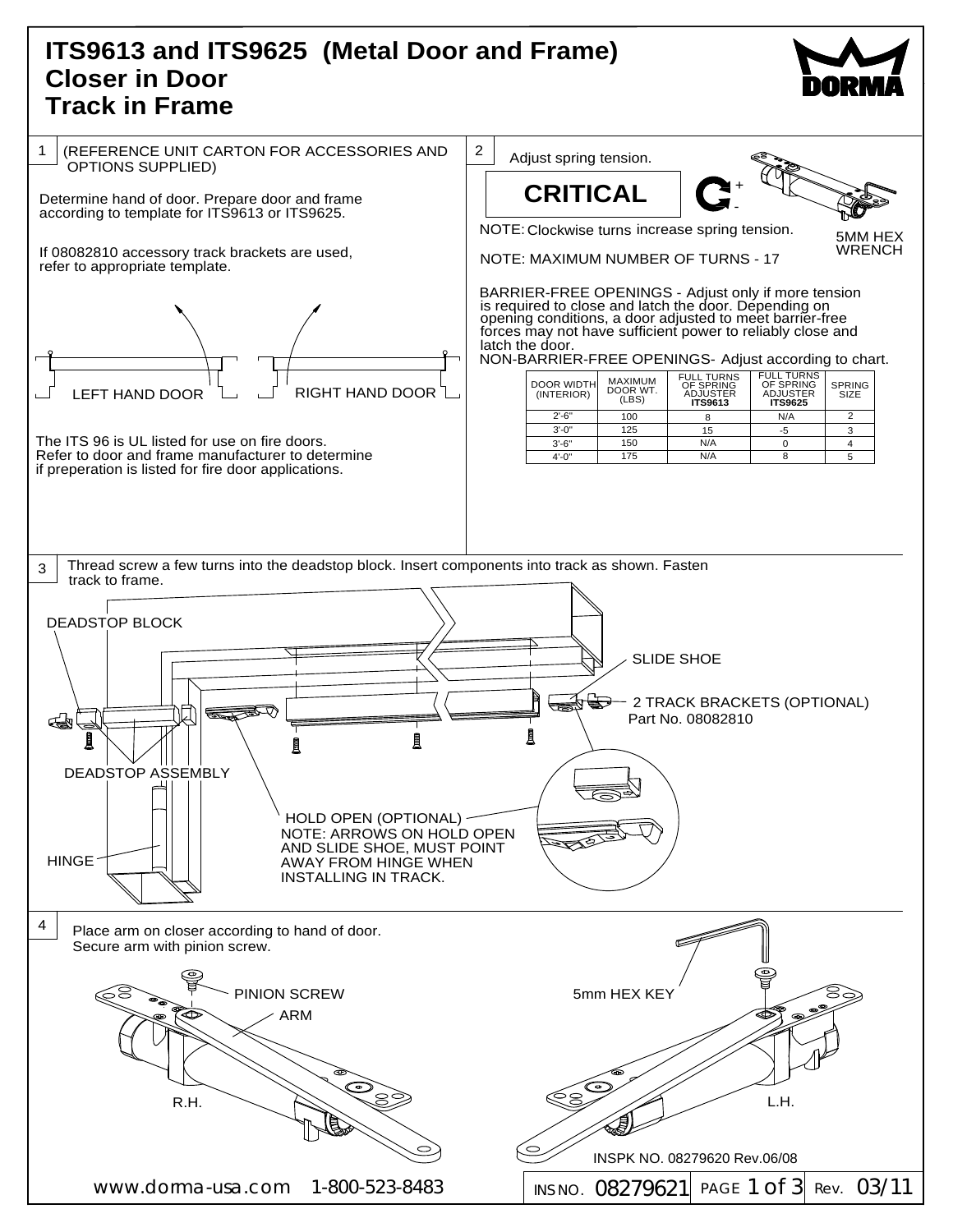## **Track in Frame (Metal Door and Frame) ITS9613 and ITS9625 Closer in Door**



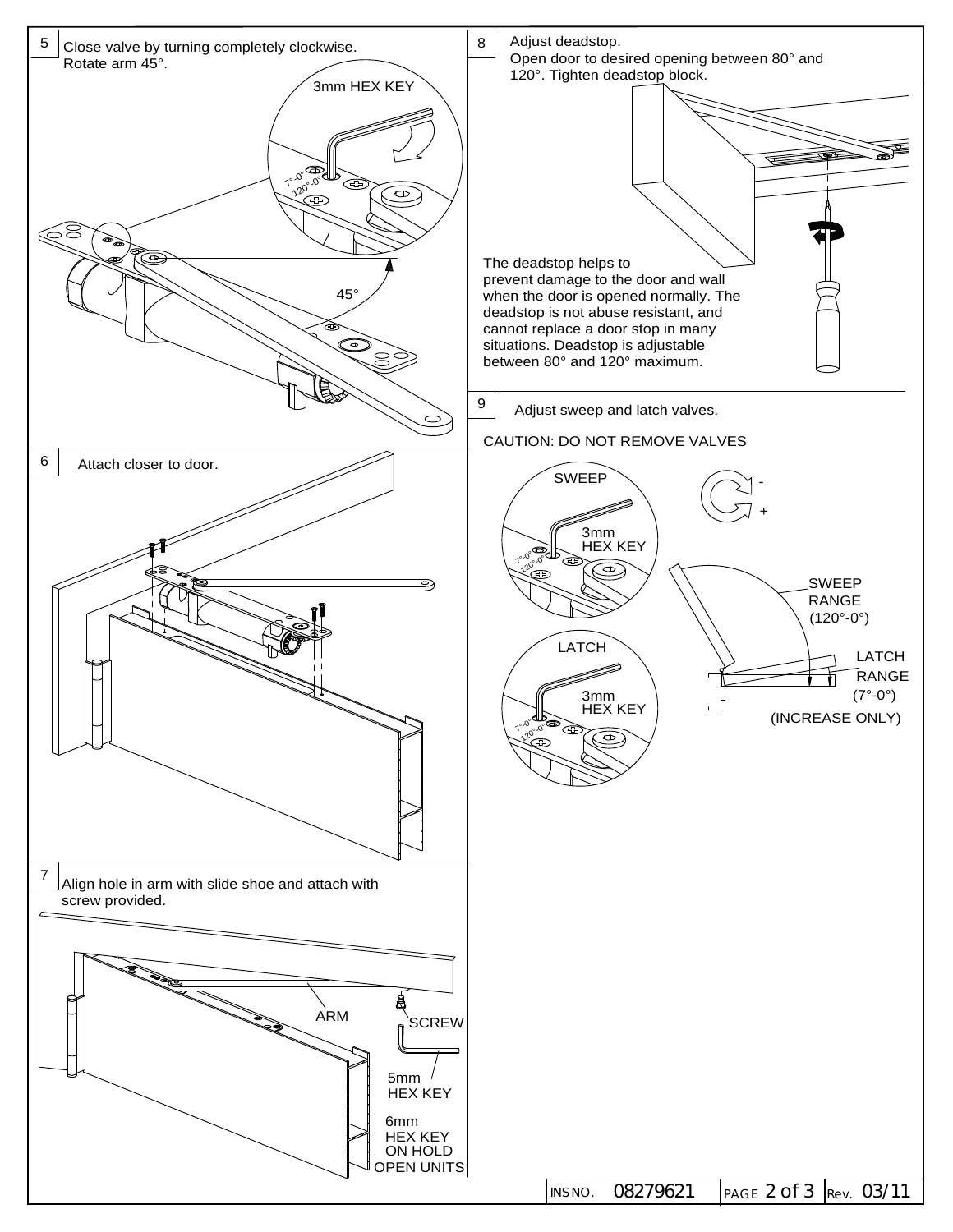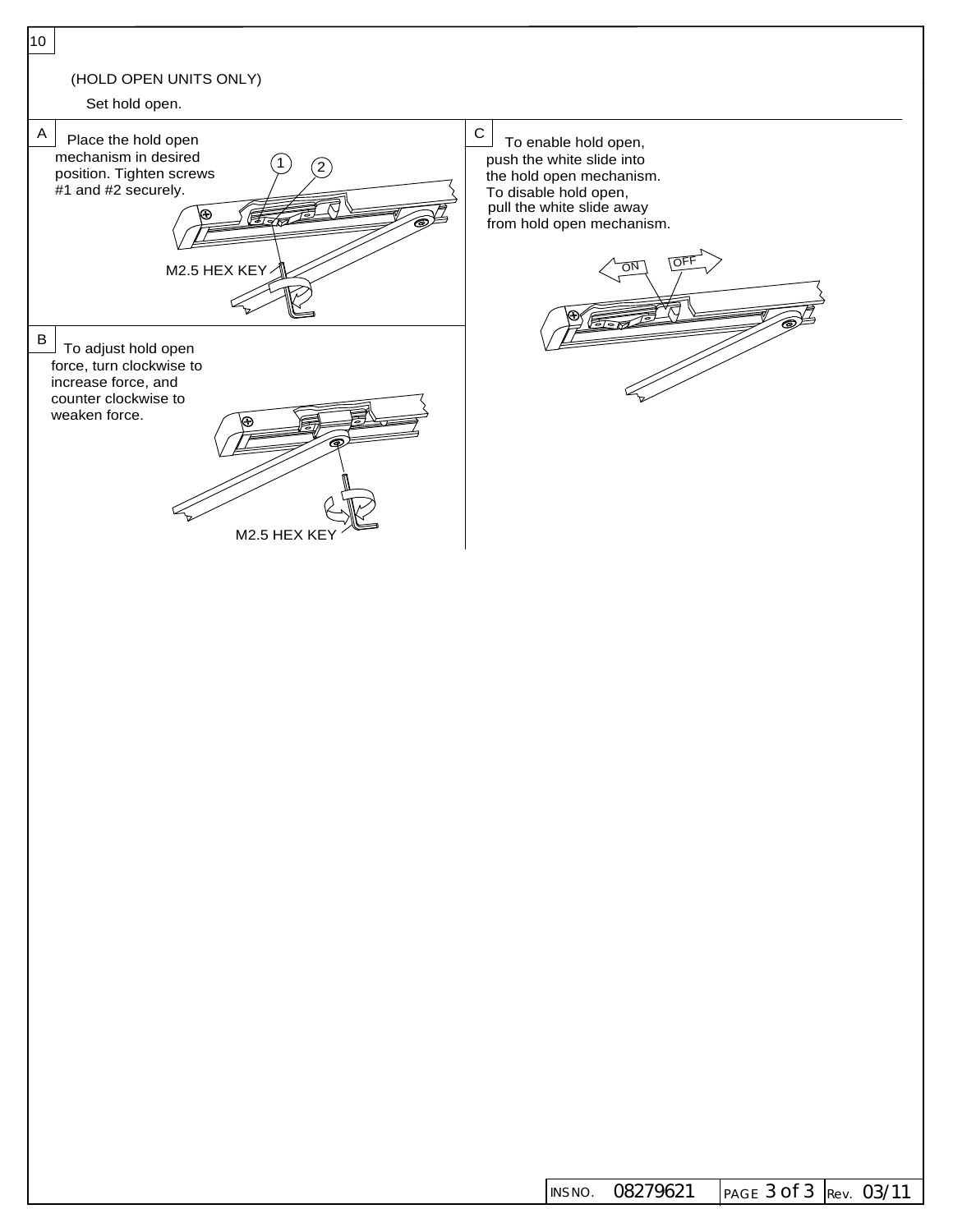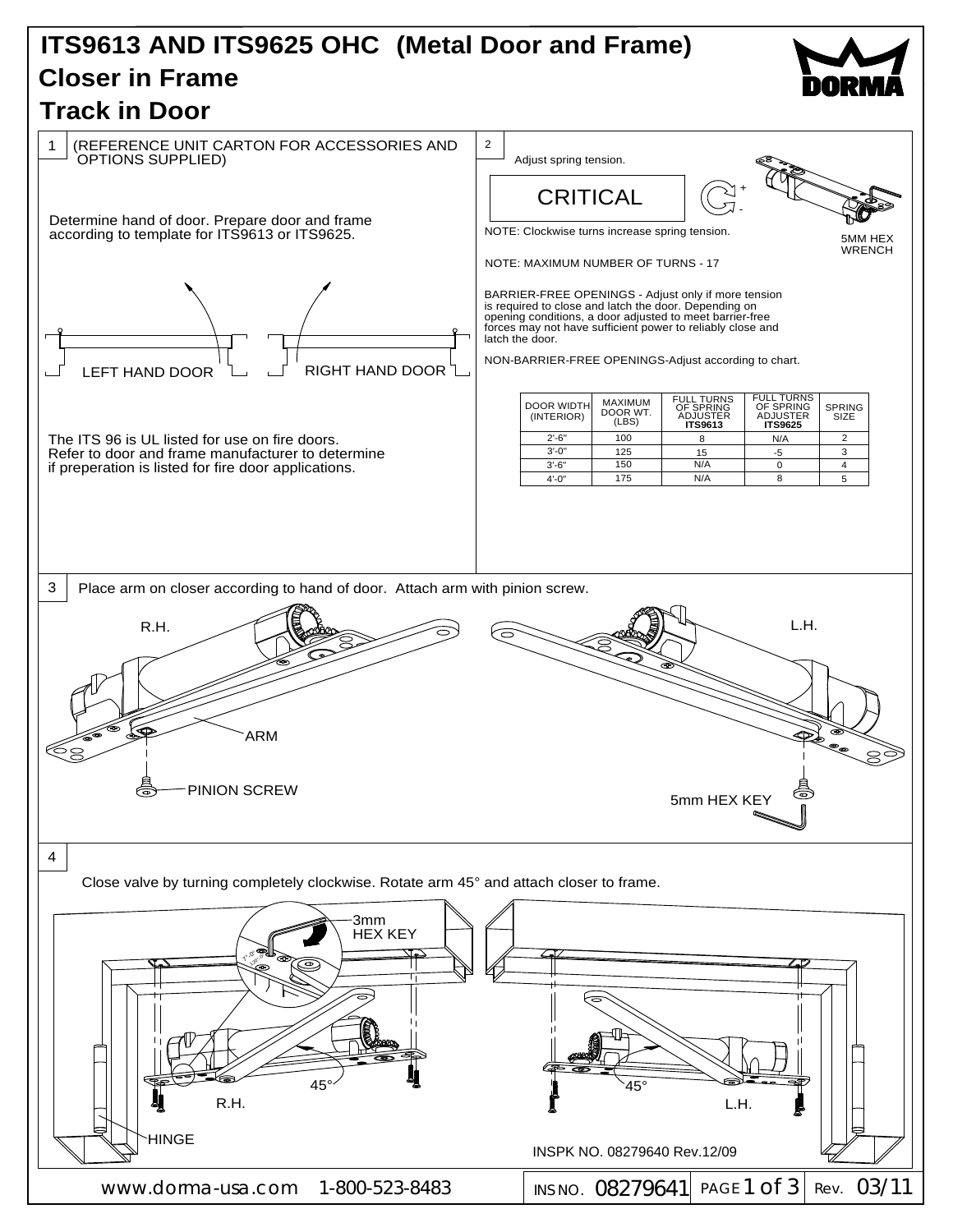## ITS9613 AND ITS9625 OHC (Metal Door and Frame) **Closer in Frame**



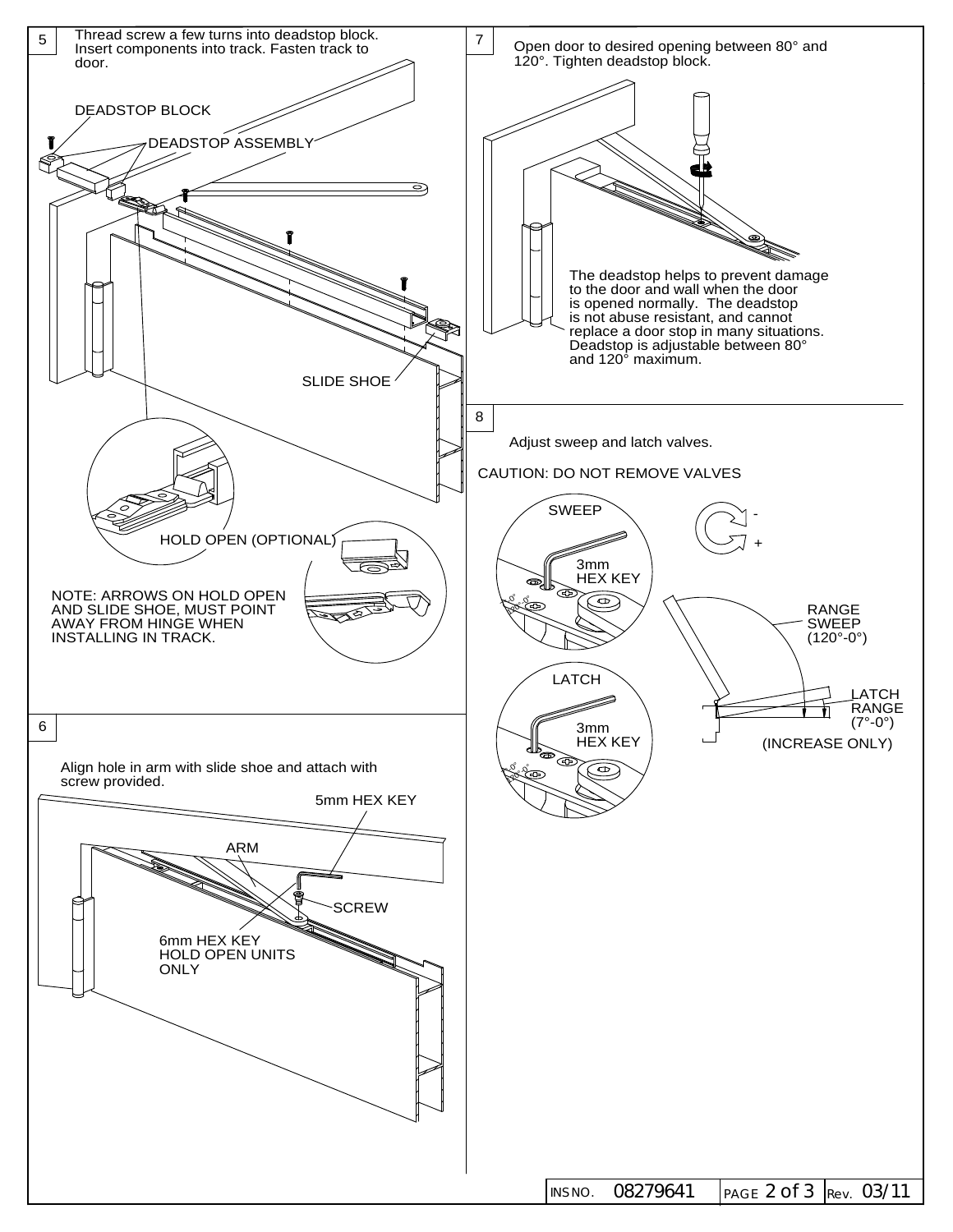